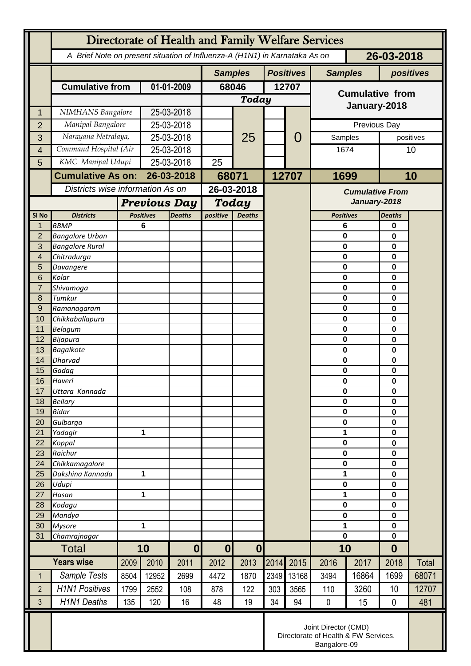|                  | Directorate of Health and Family Welfare Services                                        |      |                                  |               |                                      |       |       |       |                            |                             |                            |       |
|------------------|------------------------------------------------------------------------------------------|------|----------------------------------|---------------|--------------------------------------|-------|-------|-------|----------------------------|-----------------------------|----------------------------|-------|
|                  | 26-03-2018<br>A Brief Note on present situation of Influenza-A (H1N1) in Karnataka As on |      |                                  |               |                                      |       |       |       |                            |                             |                            |       |
|                  |                                                                                          |      |                                  |               | <b>Positives</b><br><b>Samples</b>   |       |       |       |                            | <b>Samples</b><br>positives |                            |       |
|                  | <b>Cumulative from</b>                                                                   |      | 01-01-2009                       |               | 68046                                |       | 12707 |       |                            |                             |                            |       |
|                  |                                                                                          |      |                                  |               |                                      | Today |       |       | <b>Cumulative from</b>     |                             |                            |       |
| 1                | NIMHANS Bangalore                                                                        |      | 25-03-2018                       |               |                                      |       |       |       | January-2018               |                             |                            |       |
| $\overline{2}$   | Manipal Bangalore                                                                        |      | 25-03-2018                       |               |                                      |       |       | 0     | Previous Day               |                             |                            |       |
| 3                | Narayana Netralaya,                                                                      |      | 25-03-2018                       |               |                                      | 25    |       |       | Samples                    |                             | positives                  |       |
| $\overline{4}$   | Command Hospital (Air                                                                    |      | 25-03-2018                       |               |                                      |       |       |       | 1674                       |                             | 10                         |       |
| 5                | KMC Manipal Udupi                                                                        |      | 25-03-2018                       |               | 25                                   |       |       |       |                            |                             |                            |       |
|                  | <b>Cumulative As on:</b>                                                                 |      | 26-03-2018                       |               | 68071                                |       | 12707 |       | 1699                       |                             | 10                         |       |
|                  |                                                                                          |      | Districts wise information As on |               | 26-03-2018                           |       |       |       | <b>Cumulative From</b>     |                             |                            |       |
|                  |                                                                                          |      | <b>Previous Day</b>              |               | <b>Today</b>                         |       |       |       | January-2018               |                             |                            |       |
| SI <sub>No</sub> | <b>Districts</b>                                                                         |      | <b>Positives</b>                 |               | positive<br><b>Deaths</b>            |       |       |       | <b>Positives</b>           |                             | <b>Deaths</b>              |       |
| 1                | <b>BBMP</b>                                                                              |      | 6                                | <b>Deaths</b> |                                      |       |       |       | 6                          |                             | 0                          |       |
| $\overline{2}$   | <b>Bangalore Urban</b>                                                                   |      |                                  |               |                                      |       |       |       | $\mathbf 0$                |                             | $\bf{0}$                   |       |
| 3                | <b>Bangalore Rural</b>                                                                   |      |                                  |               |                                      |       |       |       | $\mathbf 0$                |                             | $\bf{0}$                   |       |
| 4                | Chitradurga                                                                              |      |                                  |               |                                      |       |       |       | $\mathbf 0$<br>$\mathbf 0$ |                             | $\bf{0}$<br>$\mathbf 0$    |       |
| 5<br>6           | Davangere<br>Kolar                                                                       |      |                                  |               |                                      |       |       |       | $\mathbf 0$                |                             | 0                          |       |
| $\overline{7}$   | Shivamoga                                                                                |      |                                  |               |                                      |       |       |       | $\mathbf 0$                |                             | $\bf{0}$                   |       |
| 8                | Tumkur                                                                                   |      |                                  |               |                                      |       |       |       | $\mathbf 0$                |                             | $\mathbf 0$                |       |
| 9                | Ramanagaram                                                                              |      |                                  |               |                                      |       |       |       | $\mathbf 0$                |                             | $\mathbf 0$                |       |
| 10               | Chikkaballapura                                                                          |      |                                  |               |                                      |       |       |       | $\mathbf 0$                |                             | $\bf{0}$                   |       |
| 11<br>12         | <b>Belagum</b><br>Bijapura                                                               |      |                                  |               |                                      |       |       |       | $\mathbf 0$<br>$\bf{0}$    |                             | $\mathbf 0$<br>$\mathbf 0$ |       |
| 13               | <b>Bagalkote</b>                                                                         |      |                                  |               |                                      |       |       |       | $\mathbf 0$                |                             | $\bf{0}$                   |       |
| 14               | Dharvad                                                                                  |      |                                  |               |                                      |       |       |       | $\mathbf 0$                |                             | $\mathbf 0$                |       |
| 15               | Gadag                                                                                    |      |                                  |               |                                      |       |       |       | $\mathbf 0$                |                             | $\mathbf 0$                |       |
| 16               | Haveri                                                                                   |      |                                  |               |                                      |       |       |       | $\bf{0}$                   |                             | 0                          |       |
| 17<br>18         | Uttara Kannada<br><b>Bellary</b>                                                         |      |                                  |               |                                      |       |       |       | 0<br>$\mathbf 0$           |                             | 0<br>0                     |       |
| 19               | <b>Bidar</b>                                                                             |      |                                  |               |                                      |       |       |       | $\mathbf 0$                |                             | $\mathbf 0$                |       |
| 20               | Gulbarga                                                                                 |      |                                  |               |                                      |       |       |       | $\mathbf 0$                |                             | $\mathbf 0$                |       |
| 21               | Yadagir                                                                                  |      | 1                                |               |                                      |       |       |       | 1                          |                             | $\mathbf 0$                |       |
| 22               | Koppal                                                                                   |      |                                  |               |                                      |       |       |       | $\mathbf 0$<br>$\mathbf 0$ |                             | $\mathbf 0$                |       |
| 23<br>24         | Raichur<br>Chikkamagalore                                                                |      |                                  |               |                                      |       |       |       | $\mathbf 0$                |                             | 0<br>$\mathbf 0$           |       |
| 25               | Dakshina Kannada                                                                         | 1    |                                  |               |                                      |       |       |       | 1                          |                             | $\mathbf 0$                |       |
| 26               | Udupi                                                                                    |      |                                  |               |                                      |       |       |       | $\mathbf 0$                |                             | $\mathbf 0$                |       |
| 27               | Hasan                                                                                    | 1    |                                  |               |                                      |       |       |       | 1                          |                             | $\mathbf 0$                |       |
| 28               | Kodagu                                                                                   |      |                                  |               |                                      |       |       |       | 0                          |                             | 0                          |       |
| 29<br>30         | Mandya<br><b>Mysore</b>                                                                  | 1    |                                  |               |                                      |       |       |       | $\mathbf 0$<br>1           |                             | $\mathbf 0$<br>$\mathbf 0$ |       |
| 31               | Chamrajnagar                                                                             |      |                                  |               |                                      |       |       |       | $\mathbf 0$                |                             | $\mathbf 0$                |       |
|                  | Total                                                                                    |      | 10                               |               | $\boldsymbol{0}$<br>$\boldsymbol{0}$ |       |       |       | 10                         |                             | $\boldsymbol{0}$           |       |
|                  | <b>Years wise</b>                                                                        | 2009 | 2010                             | 2011          | 2012                                 | 2013  | 2014  | 2015  | 2016                       | 2017                        | 2018                       | Total |
| $\mathbf 1$      | Sample Tests                                                                             | 8504 | 12952                            | 2699          | 4472                                 | 1870  | 2349  | 13168 | 3494                       | 16864                       | 1699                       | 68071 |
| $\overline{2}$   | <b>H1N1 Positives</b>                                                                    | 1799 | 2552                             | 108           | 878                                  | 122   | 303   | 3565  | 110                        | 3260                        | 10                         | 12707 |
| 3                | <b>H1N1 Deaths</b>                                                                       | 135  | 120                              | 16            | 48                                   | 19    | 34    | 94    | $\pmb{0}$                  | 15                          | $\mathbf 0$                | 481   |
|                  | Joint Director (CMD)<br>Directorate of Health & FW Services.<br>Bangalore-09             |      |                                  |               |                                      |       |       |       |                            |                             |                            |       |